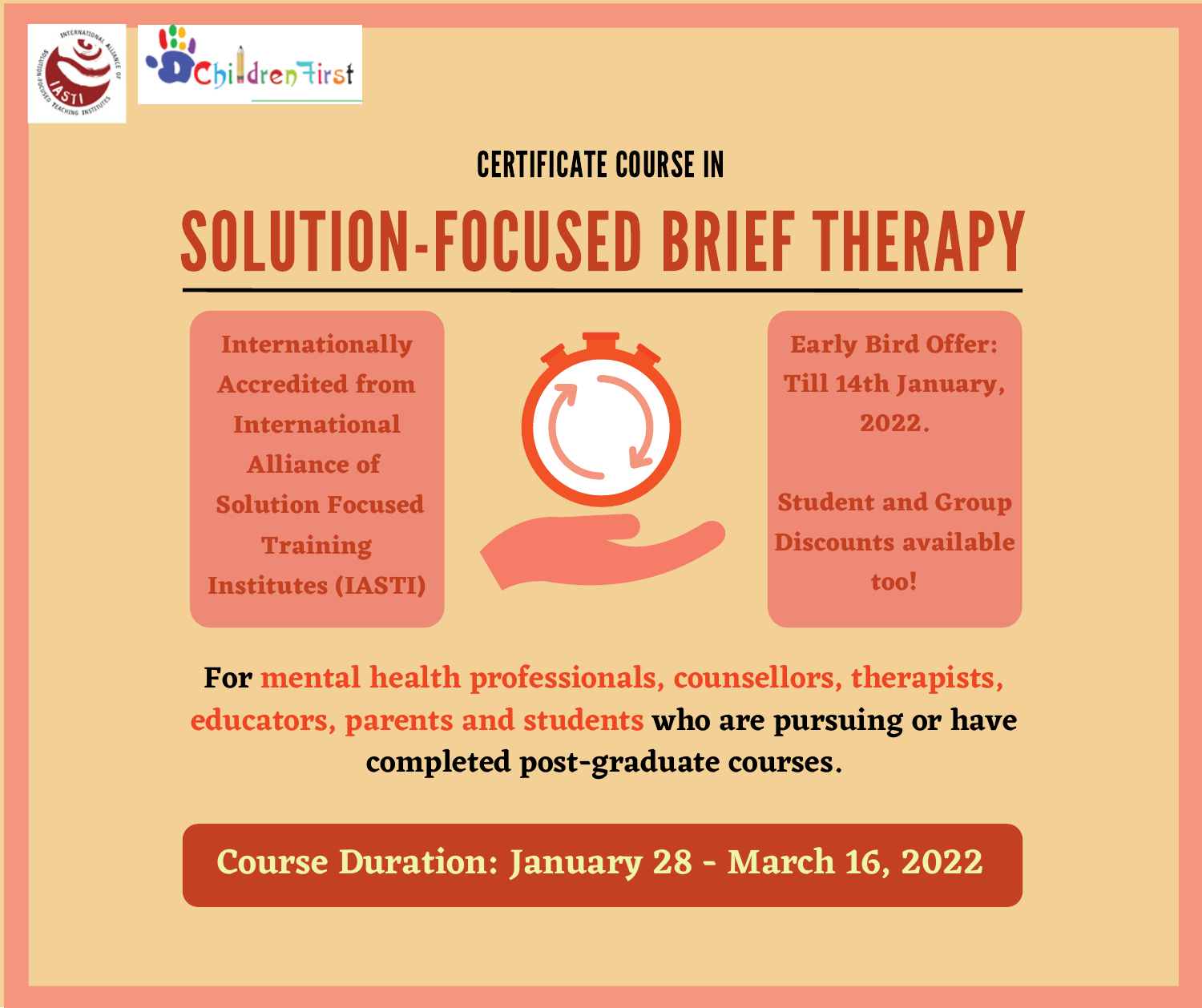

#### CERTIFICATE COURSE IN

# SOLUTION-FOCUSED BRIEF THERAPY

**Internationally Accredited from International Alliance of Solution Focused Training Institutes (IASTI)**



**Early Bird Offer: Till 14th January, 2022.**

**Student and Group Discounts available too!**

**For mental health professionals, counsellors, therapists, educators, parents and students who are pursuing or have completed post-graduate courses.**

**Course Duration: January 28 - March 16, 2022**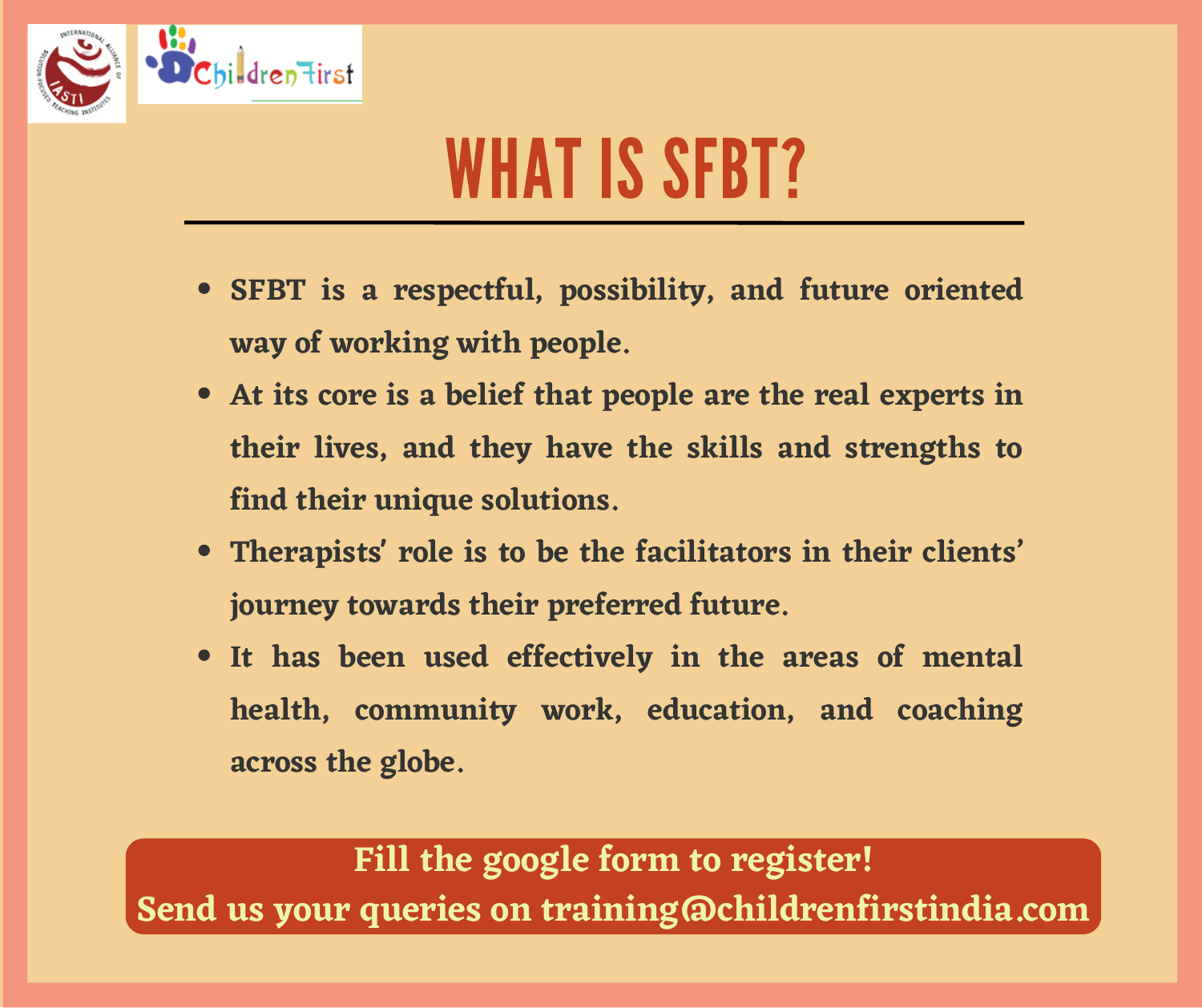

## WHAT IS SFBT?

- **SFBT is a respectful, possibility, and future oriented way of working with people.**
- **At its core is a belief that people are the real experts in their lives, and they have the skills and strengths to find their unique solutions.**
- **Therapists' role is to be the facilitators in their clients' journey towards their preferred future.**
- **It has been used effectively in the areas of mental health, community work, education, and coaching across the globe.**

**Fill the google form to register! Send us your queries on training@childrenfirstindia.com**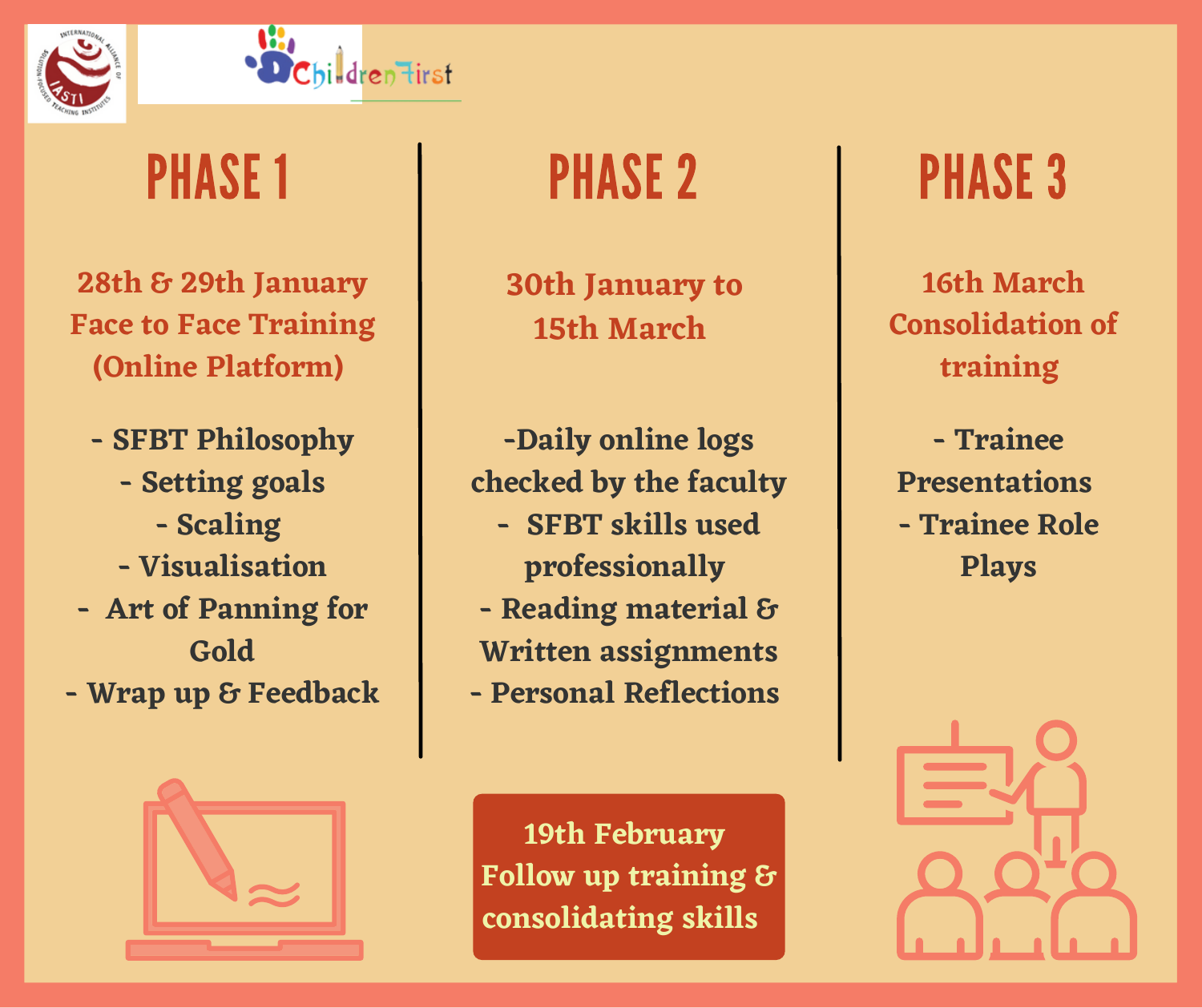



#### PHASE 1

**28th & 29th January Face to Face Training (Online Platform)**

- **- SFBT Philosophy**
	- **- Setting goals**
		- **- Scaling**
	- **- Visualisation**
- **- Art of Panning for Gold**
- **- Wrap up & Feedback**

**30th January to 15th March**

**-Daily online logs checked by the faculty - SFBT skills used professionally - Reading material & Written assignments - Personal Reflections**

**19th February Follow up training & consolidating skills**

PHASE 2 PHASE 3

**16th March Consolidation of training**

**- Trainee Presentations - Trainee Role Plays**